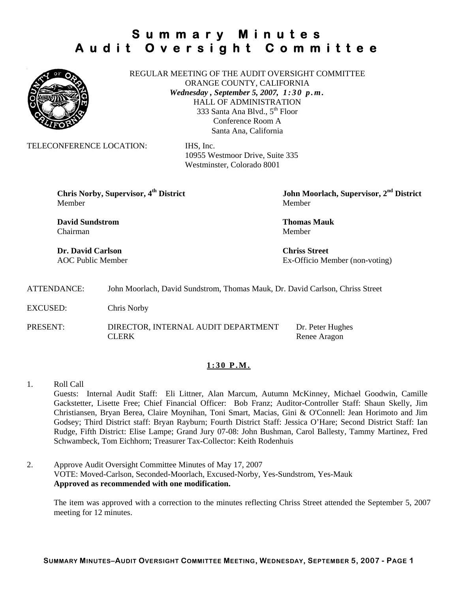

REGULAR MEETING OF THE AUDIT OVERSIGHT COMMITTEE ORANGE COUNTY, CALIFORNIA *Wednesday , September 5, 2007, 1 : 3 0 p . m .* HALL OF ADMINISTRATION 333 Santa Ana Blvd., 5<sup>th</sup> Floor Conference Room A Santa Ana, California

TELECONFERENCE LOCATION: IHS, Inc.

 10955 Westmoor Drive, Suite 335 Westminster, Colorado 8001

Member Member

**David Sundstrom Thomas Mauk**  Chairman Member

**Dr. David Carlson Chriss Street** 

**Chris Norby, Supervisor, 4th District John Moorlach, Supervisor, 2nd District** 

AOC Public Member Ex-Officio Member (non-voting)

ATTENDANCE: John Moorlach, David Sundstrom, Thomas Mauk, Dr. David Carlson, Chriss Street

EXCUSED: Chris Norby

PRESENT: DIRECTOR, INTERNAL AUDIT DEPARTMENT Dr. Peter Hughes CLERK Renee Aragon

### **1:30 P.M.**

- 1. Roll Call Guests: Internal Audit Staff: Eli Littner, Alan Marcum, Autumn McKinney, Michael Goodwin, Camille Gackstetter, Lisette Free; Chief Financial Officer: Bob Franz; Auditor-Controller Staff: Shaun Skelly, Jim Christiansen, Bryan Berea, Claire Moynihan, Toni Smart, Macias, Gini & O'Connell: Jean Horimoto and Jim Godsey; Third District staff: Bryan Rayburn; Fourth District Staff: Jessica O'Hare; Second District Staff: Ian Rudge, Fifth District: Elise Lampe; Grand Jury 07-08: John Bushman, Carol Ballesty, Tammy Martinez, Fred Schwambeck, Tom Eichhorn; Treasurer Tax-Collector: Keith Rodenhuis
- 2. Approve Audit Oversight Committee Minutes of May 17, 2007 VOTE: Moved-Carlson, Seconded-Moorlach, Excused-Norby, Yes-Sundstrom, Yes-Mauk **Approved as recommended with one modification.**

The item was approved with a correction to the minutes reflecting Chriss Street attended the September 5, 2007 meeting for 12 minutes.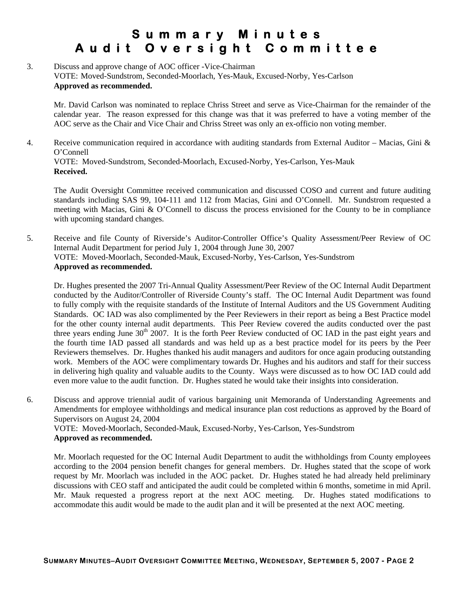## 3. Discuss and approve change of AOC officer -Vice-Chairman VOTE: Moved-Sundstrom, Seconded-Moorlach, Yes-Mauk, Excused-Norby, Yes-Carlson **Approved as recommended.**

Mr. David Carlson was nominated to replace Chriss Street and serve as Vice-Chairman for the remainder of the calendar year. The reason expressed for this change was that it was preferred to have a voting member of the AOC serve as the Chair and Vice Chair and Chriss Street was only an ex-officio non voting member.

4. Receive communication required in accordance with auditing standards from External Auditor – Macias, Gini & O'Connell VOTE: Moved-Sundstrom, Seconded-Moorlach, Excused-Norby, Yes-Carlson, Yes-Mauk **Received.** 

The Audit Oversight Committee received communication and discussed COSO and current and future auditing standards including SAS 99, 104-111 and 112 from Macias, Gini and O'Connell. Mr. Sundstrom requested a meeting with Macias, Gini & O'Connell to discuss the process envisioned for the County to be in compliance with upcoming standard changes.

5. Receive and file County of Riverside's Auditor-Controller Office's Quality Assessment/Peer Review of OC Internal Audit Department for period July 1, 2004 through June 30, 2007 VOTE: Moved-Moorlach, Seconded-Mauk, Excused-Norby, Yes-Carlson, Yes-Sundstrom **Approved as recommended.** 

Dr. Hughes presented the 2007 Tri-Annual Quality Assessment/Peer Review of the OC Internal Audit Department conducted by the Auditor/Controller of Riverside County's staff. The OC Internal Audit Department was found to fully comply with the requisite standards of the Institute of Internal Auditors and the US Government Auditing Standards. OC IAD was also complimented by the Peer Reviewers in their report as being a Best Practice model for the other county internal audit departments. This Peer Review covered the audits conducted over the past three years ending June  $30<sup>th</sup> 2007$ . It is the forth Peer Review conducted of OC IAD in the past eight years and the fourth time IAD passed all standards and was held up as a best practice model for its peers by the Peer Reviewers themselves. Dr. Hughes thanked his audit managers and auditors for once again producing outstanding work. Members of the AOC were complimentary towards Dr. Hughes and his auditors and staff for their success in delivering high quality and valuable audits to the County. Ways were discussed as to how OC IAD could add even more value to the audit function. Dr. Hughes stated he would take their insights into consideration.

6. Discuss and approve triennial audit of various bargaining unit Memoranda of Understanding Agreements and Amendments for employee withholdings and medical insurance plan cost reductions as approved by the Board of Supervisors on August 24, 2004 VOTE: Moved-Moorlach, Seconded-Mauk, Excused-Norby, Yes-Carlson, Yes-Sundstrom **Approved as recommended.** 

Mr. Moorlach requested for the OC Internal Audit Department to audit the withholdings from County employees according to the 2004 pension benefit changes for general members. Dr. Hughes stated that the scope of work request by Mr. Moorlach was included in the AOC packet. Dr. Hughes stated he had already held preliminary discussions with CEO staff and anticipated the audit could be completed within 6 months, sometime in mid April. Mr. Mauk requested a progress report at the next AOC meeting. Dr. Hughes stated modifications to accommodate this audit would be made to the audit plan and it will be presented at the next AOC meeting.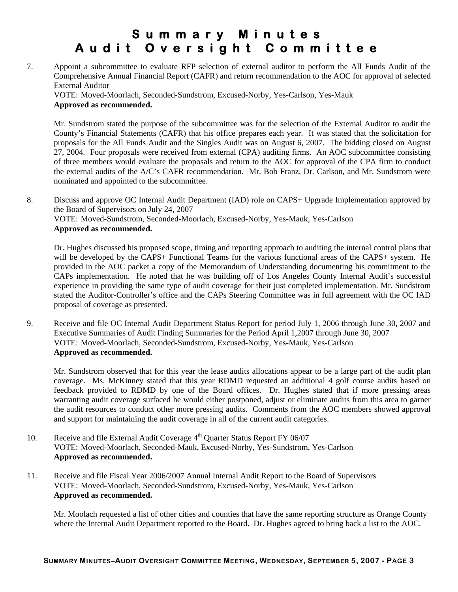7. Appoint a subcommittee to evaluate RFP selection of external auditor to perform the All Funds Audit of the Comprehensive Annual Financial Report (CAFR) and return recommendation to the AOC for approval of selected External Auditor

VOTE: Moved-Moorlach, Seconded-Sundstrom, Excused-Norby, Yes-Carlson, Yes-Mauk **Approved as recommended.** 

Mr. Sundstrom stated the purpose of the subcommittee was for the selection of the External Auditor to audit the County's Financial Statements (CAFR) that his office prepares each year. It was stated that the solicitation for proposals for the All Funds Audit and the Singles Audit was on August 6, 2007. The bidding closed on August 27, 2004. Four proposals were received from external (CPA) auditing firms. An AOC subcommittee consisting of three members would evaluate the proposals and return to the AOC for approval of the CPA firm to conduct the external audits of the A/C's CAFR recommendation. Mr. Bob Franz, Dr. Carlson, and Mr. Sundstrom were nominated and appointed to the subcommittee.

8. Discuss and approve OC Internal Audit Department (IAD) role on CAPS+ Upgrade Implementation approved by the Board of Supervisors on July 24, 2007 VOTE: Moved-Sundstrom, Seconded-Moorlach, Excused-Norby, Yes-Mauk, Yes-Carlson **Approved as recommended.** 

Dr. Hughes discussed his proposed scope, timing and reporting approach to auditing the internal control plans that will be developed by the CAPS+ Functional Teams for the various functional areas of the CAPS+ system. He provided in the AOC packet a copy of the Memorandum of Understanding documenting his commitment to the CAPs implementation. He noted that he was building off of Los Angeles County Internal Audit's successful experience in providing the same type of audit coverage for their just completed implementation. Mr. Sundstrom stated the Auditor-Controller's office and the CAPs Steering Committee was in full agreement with the OC IAD proposal of coverage as presented.

9. Receive and file OC Internal Audit Department Status Report for period July 1, 2006 through June 30, 2007 and Executive Summaries of Audit Finding Summaries for the Period April 1,2007 through June 30, 2007 VOTE: Moved-Moorlach, Seconded-Sundstrom, Excused-Norby, Yes-Mauk, Yes-Carlson **Approved as recommended.** 

Mr. Sundstrom observed that for this year the lease audits allocations appear to be a large part of the audit plan coverage. Ms. McKinney stated that this year RDMD requested an additional 4 golf course audits based on feedback provided to RDMD by one of the Board offices. Dr. Hughes stated that if more pressing areas warranting audit coverage surfaced he would either postponed, adjust or eliminate audits from this area to garner the audit resources to conduct other more pressing audits. Comments from the AOC members showed approval and support for maintaining the audit coverage in all of the current audit categories.

- 10. Receive and file External Audit Coverage  $4<sup>th</sup>$  Quarter Status Report FY 06/07 VOTE: Moved-Moorlach, Seconded-Mauk, Excused-Norby, Yes-Sundstrom, Yes-Carlson **Approved as recommended.**
- 11. Receive and file Fiscal Year 2006/2007 Annual Internal Audit Report to the Board of Supervisors VOTE: Moved-Moorlach, Seconded-Sundstrom, Excused-Norby, Yes-Mauk, Yes-Carlson **Approved as recommended.**

Mr. Moolach requested a list of other cities and counties that have the same reporting structure as Orange County where the Internal Audit Department reported to the Board. Dr. Hughes agreed to bring back a list to the AOC.